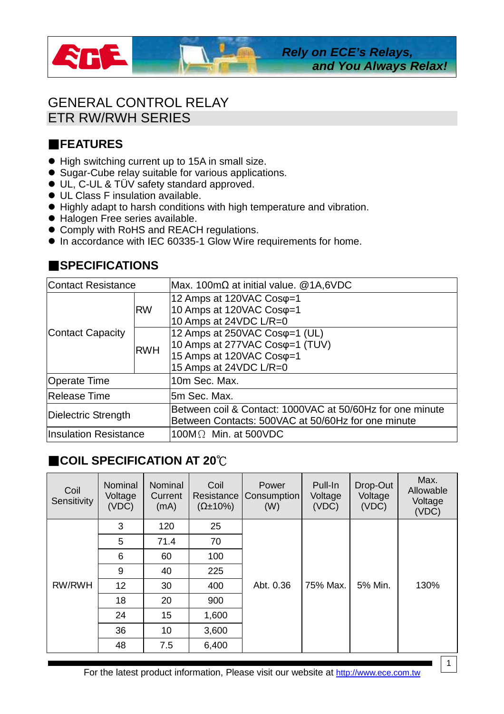

## GENERAL CONTROL RELAY ETR RW/RWH SERIES

## **FEATURES**

- High switching current up to 15A in small size.
- Sugar-Cube relay suitable for various applications.
- UL, C-UL & TÜV safety standard approved.
- UL Class F insulation available.
- Highly adapt to harsh conditions with high temperature and vibration.
- $\bullet$  Halogen Free series available.
- Comply with RoHS and REACH regulations.
- $\bullet$  In accordance with IEC 60335-1 Glow Wire requirements for home.

## **ESPECIFICATIONS**

| Contact Resistance           |            | Max. 100m $\Omega$ at initial value. @1A,6VDC                                                                                             |  |  |  |  |
|------------------------------|------------|-------------------------------------------------------------------------------------------------------------------------------------------|--|--|--|--|
| Contact Capacity             | <b>RW</b>  | 12 Amps at 120VAC Cosq=1<br>10 Amps at 120VAC Coso=1<br>10 Amps at 24VDC L/R=0                                                            |  |  |  |  |
|                              | <b>RWH</b> | 12 Amps at 250VAC Cos $\varphi$ =1 (UL)<br>10 Amps at 277VAC Cos $\varphi$ =1 (TUV)<br>15 Amps at 120VAC Cosq=1<br>15 Amps at 24VDC L/R=0 |  |  |  |  |
| Operate Time                 |            | 10m Sec. Max.                                                                                                                             |  |  |  |  |
| Release Time                 |            | 5m Sec. Max.                                                                                                                              |  |  |  |  |
| Dielectric Strength          |            | Between coil & Contact: 1000VAC at 50/60Hz for one minute<br>Between Contacts: 500VAC at 50/60Hz for one minute                           |  |  |  |  |
| <b>Insulation Resistance</b> |            | 100M $\Omega$ Min. at 500VDC                                                                                                              |  |  |  |  |

## ▓**COIL SPECIFICATION AT 20**℃

| Coil<br>Sensitivity | Nominal<br>Voltage<br>(VDC) | <b>Nominal</b><br>Current<br>(mA) | Coil<br>Resistance<br>$(\Omega \pm 10\%)$ | Power<br>Consumption<br>(W) | Pull-In<br>Voltage<br>(VDC) | Drop-Out<br>Voltage<br>(VDC) | Max.<br>Allowable<br>Voltage<br>(VDC) |
|---------------------|-----------------------------|-----------------------------------|-------------------------------------------|-----------------------------|-----------------------------|------------------------------|---------------------------------------|
| <b>RW/RWH</b>       | 3                           | 120                               | 25                                        |                             | 75% Max.                    | 5% Min.                      | 130%                                  |
|                     | 5                           | 71.4                              | 70                                        | Abt. 0.36                   |                             |                              |                                       |
|                     | 6                           | 60                                | 100                                       |                             |                             |                              |                                       |
|                     | 9                           | 40                                | 225                                       |                             |                             |                              |                                       |
|                     | 12                          | 30                                | 400                                       |                             |                             |                              |                                       |
|                     | 18                          | 20                                | 900                                       |                             |                             |                              |                                       |
|                     | 24                          | 15                                | 1,600                                     |                             |                             |                              |                                       |
|                     | 36<br>10                    |                                   | 3,600                                     |                             |                             |                              |                                       |
|                     | 48                          | 7.5                               | 6,400                                     |                             |                             |                              |                                       |